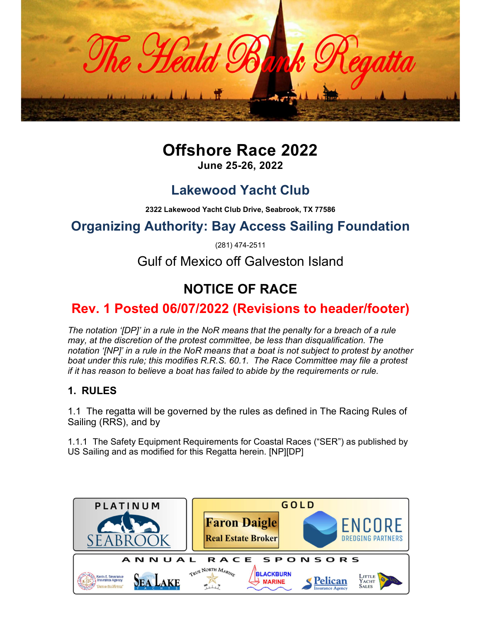

# Offshore Race 2022

June 25-26, 2022

## Lakewood Yacht Club

2322 Lakewood Yacht Club Drive, Seabrook, TX 77586

## Organizing Authority: Bay Access Sailing Foundation

(281) 474-2511

Gulf of Mexico off Galveston Island

# NOTICE OF RACE

### Rev. 1 Posted 06/07/2022 (Revisions to header/footer)

The notation '[DP]' in a rule in the NoR means that the penalty for a breach of a rule may, at the discretion of the protest committee, be less than disqualification. The notation '[NP]' in a rule in the NoR means that a boat is not subject to protest by another boat under this rule; this modifies R.R.S. 60.1. The Race Committee may file a protest if it has reason to believe a boat has failed to abide by the requirements or rule.

#### 1. RULES

1.1 The regatta will be governed by the rules as defined in The Racing Rules of Sailing (RRS), and by

1.1.1 The Safety Equipment Requirements for Coastal Races ("SER") as published by US Sailing and as modified for this Regatta herein. [NP][DP]

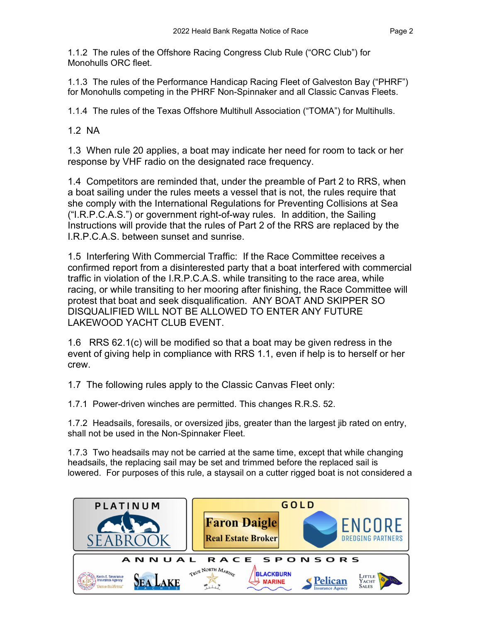1.1.2 The rules of the Offshore Racing Congress Club Rule ("ORC Club") for Monohulls ORC fleet.

1.1.3 The rules of the Performance Handicap Racing Fleet of Galveston Bay ("PHRF") for Monohulls competing in the PHRF Non-Spinnaker and all Classic Canvas Fleets.

1.1.4 The rules of the Texas Offshore Multihull Association ("TOMA") for Multihulls.

1.2 NA

1.3 When rule 20 applies, a boat may indicate her need for room to tack or her response by VHF radio on the designated race frequency.

1.4 Competitors are reminded that, under the preamble of Part 2 to RRS, when a boat sailing under the rules meets a vessel that is not, the rules require that she comply with the International Regulations for Preventing Collisions at Sea ("I.R.P.C.A.S.") or government right-of-way rules. In addition, the Sailing Instructions will provide that the rules of Part 2 of the RRS are replaced by the I.R.P.C.A.S. between sunset and sunrise.

1.5 Interfering With Commercial Traffic: If the Race Committee receives a confirmed report from a disinterested party that a boat interfered with commercial traffic in violation of the I.R.P.C.A.S. while transiting to the race area, while racing, or while transiting to her mooring after finishing, the Race Committee will protest that boat and seek disqualification. ANY BOAT AND SKIPPER SO DISQUALIFIED WILL NOT BE ALLOWED TO ENTER ANY FUTURE LAKEWOOD YACHT CLUB EVENT.

1.6 RRS 62.1(c) will be modified so that a boat may be given redress in the event of giving help in compliance with RRS 1.1, even if help is to herself or her crew.

1.7 The following rules apply to the Classic Canvas Fleet only:

1.7.1 Power-driven winches are permitted. This changes R.R.S. 52.

1.7.2 Headsails, foresails, or oversized jibs, greater than the largest jib rated on entry, shall not be used in the Non-Spinnaker Fleet.

1.7.3 Two headsails may not be carried at the same time, except that while changing headsails, the replacing sail may be set and trimmed before the replaced sail is lowered. For purposes of this rule, a staysail on a cutter rigged boat is not considered a

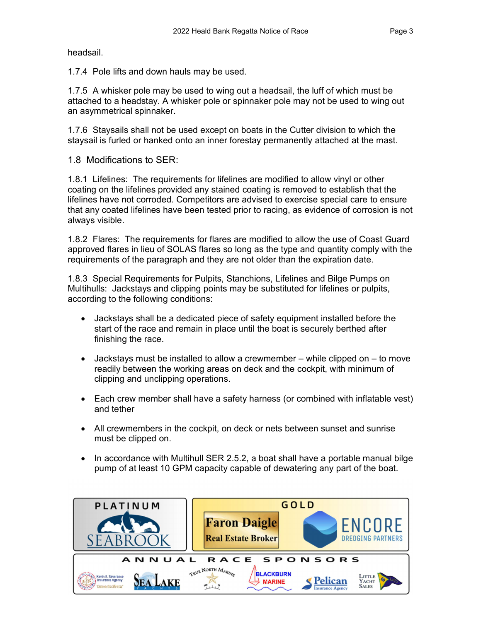headsail.

1.7.4 Pole lifts and down hauls may be used.

1.7.5 A whisker pole may be used to wing out a headsail, the luff of which must be attached to a headstay. A whisker pole or spinnaker pole may not be used to wing out an asymmetrical spinnaker.

1.7.6 Staysails shall not be used except on boats in the Cutter division to which the staysail is furled or hanked onto an inner forestay permanently attached at the mast.

1.8 Modifications to SER:

1.8.1 Lifelines: The requirements for lifelines are modified to allow vinyl or other coating on the lifelines provided any stained coating is removed to establish that the lifelines have not corroded. Competitors are advised to exercise special care to ensure that any coated lifelines have been tested prior to racing, as evidence of corrosion is not always visible.

1.8.2 Flares: The requirements for flares are modified to allow the use of Coast Guard approved flares in lieu of SOLAS flares so long as the type and quantity comply with the requirements of the paragraph and they are not older than the expiration date.

1.8.3 Special Requirements for Pulpits, Stanchions, Lifelines and Bilge Pumps on Multihulls: Jackstays and clipping points may be substituted for lifelines or pulpits, according to the following conditions:

- Jackstays shall be a dedicated piece of safety equipment installed before the start of the race and remain in place until the boat is securely berthed after finishing the race.
- Jackstays must be installed to allow a crewmember while clipped on to move readily between the working areas on deck and the cockpit, with minimum of clipping and unclipping operations.
- Each crew member shall have a safety harness (or combined with inflatable vest) and tether
- All crewmembers in the cockpit, on deck or nets between sunset and sunrise must be clipped on.
- $\bullet$  In accordance with Multihull SER 2.5.2, a boat shall have a portable manual bilge pump of at least 10 GPM capacity capable of dewatering any part of the boat.

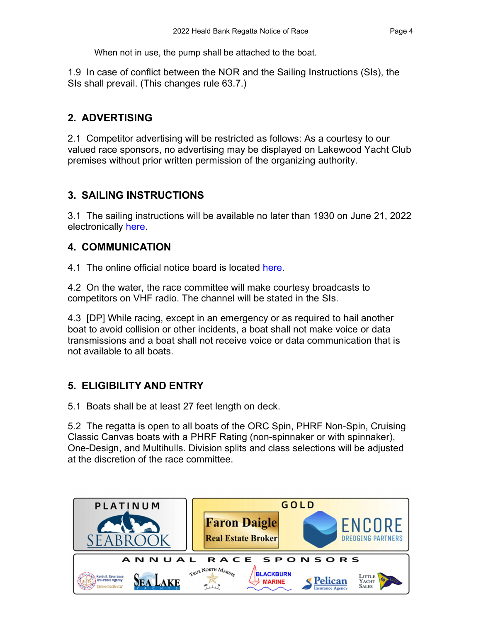When not in use, the pump shall be attached to the boat.

1.9 In case of conflict between the NOR and the Sailing Instructions (SIs), the SIs shall prevail. (This changes rule 63.7.)

#### 2. ADVERTISING

2.1 Competitor advertising will be restricted as follows: As a courtesy to our valued race sponsors, no advertising may be displayed on Lakewood Yacht Club premises without prior written permission of the organizing authority.

#### 3. SAILING INSTRUCTIONS

3.1 The sailing instructions will be available no later than 1930 on June 21, 2022 electronically here.

#### 4. COMMUNICATION

4.1 The online official notice board is located here.<br>4.2 On the water, the race committee will make courtesy broadcasts to competitors on VHF radio. The channel will be stated in the SIs.

4.3 [DP] While racing, except in an emergency or as required to hail another boat to avoid collision or other incidents, a boat shall not make voice or data transmissions and a boat shall not receive voice or data communication that is not available to all boats.

#### 5. ELIGIBILITY AND ENTRY

5.1 Boats shall be at least 27 feet length on deck.

5.2 The regatta is open to all boats of the ORC Spin, PHRF Non-Spin, Cruising Classic Canvas boats with a PHRF Rating (non-spinnaker or with spinnaker), One-Design, and Multihulls. Division splits and class selections will be adjusted at the discretion of the race committee.

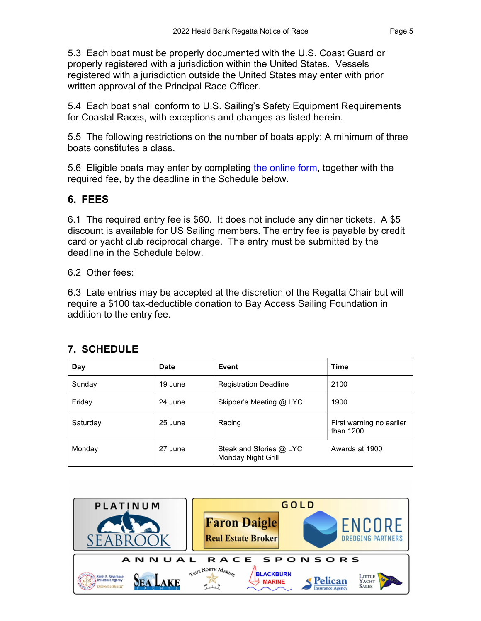5.3 Each boat must be properly documented with the U.S. Coast Guard or properly registered with a jurisdiction within the United States. Vessels registered with a jurisdiction outside the United States may enter with prior written approval of the Principal Race Officer.

5.4 Each boat shall conform to U.S. Sailing's Safety Equipment Requirements for Coastal Races, with exceptions and changes as listed herein.

5.5 The following restrictions on the number of boats apply: A minimum of three boats constitutes a class.

5.6 Eligible boats may enter by completing the online form, together with the required fee, by the deadline in the Schedule below.

#### 6. FEES

6.1 The required entry fee is \$60. It does not include any dinner tickets. A \$5 discount is available for US Sailing members. The entry fee is payable by credit card or yacht club reciprocal charge. The entry must be submitted by the deadline in the Schedule below.

6.2 Other fees:

6.3 Late entries may be accepted at the discretion of the Regatta Chair but will require a \$100 tax-deductible donation to Bay Access Sailing Foundation in addition to the entry fee.

| Day      | <b>Date</b> | Event                                         | <b>Time</b>                           |
|----------|-------------|-----------------------------------------------|---------------------------------------|
| Sunday   | 19 June     | <b>Registration Deadline</b>                  | 2100                                  |
| Friday   | 24 June     | Skipper's Meeting @ LYC                       | 1900                                  |
| Saturday | 25 June     | Racing                                        | First warning no earlier<br>than 1200 |
| Monday   | 27 June     | Steak and Stories @ LYC<br>Monday Night Grill | Awards at 1900                        |

#### 7. SCHEDULE

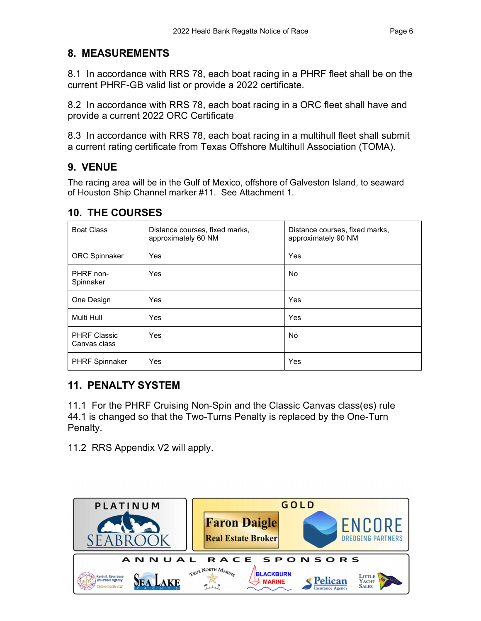#### 8. MEASUREMENTS

8.1 In accordance with RRS 78, each boat racing in a PHRF fleet shall be on the current PHRF-GB valid list or provide a 2022 certificate.

8.2 In accordance with RRS 78, each boat racing in a ORC fleet shall have and provide a current 2022 ORC Certificate

8.3 In accordance with RRS 78, each boat racing in a multihull fleet shall submit a current rating certificate from Texas Offshore Multihull Association (TOMA).

#### 9. VENUE

The racing area will be in the Gulf of Mexico, offshore of Galveston Island, to seaward of Houston Ship Channel marker #11. See Attachment 1.

#### 10. THE COURSES

| <b>Boat Class</b>                   | Distance courses, fixed marks,<br>approximately 60 NM | Distance courses, fixed marks,<br>approximately 90 NM |  |
|-------------------------------------|-------------------------------------------------------|-------------------------------------------------------|--|
| <b>ORC Spinnaker</b>                | Yes                                                   | Yes                                                   |  |
| PHRF non-<br>Spinnaker              | Yes                                                   | <b>No</b>                                             |  |
| One Design                          | Yes                                                   | Yes                                                   |  |
| Multi Hull                          | Yes                                                   | Yes                                                   |  |
| <b>PHRF Classic</b><br>Canvas class | Yes                                                   | <b>No</b>                                             |  |
| <b>PHRF Spinnaker</b>               | Yes                                                   | Yes                                                   |  |

#### 11. PENALTY SYSTEM

11.1 For the PHRF Cruising Non-Spin and the Classic Canvas class(es) rule 44.1 is changed so that the Two-Turns Penalty is replaced by the One-Turn Penalty.

11.2 RRS Appendix V2 will apply.

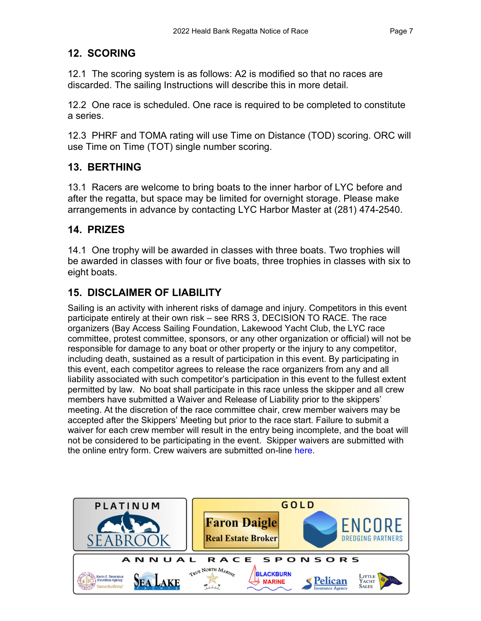#### 12. SCORING

12.1 The scoring system is as follows: A2 is modified so that no races are discarded. The sailing Instructions will describe this in more detail.

12.2 One race is scheduled. One race is required to be completed to constitute a series.

12.3 PHRF and TOMA rating will use Time on Distance (TOD) scoring. ORC will use Time on Time (TOT) single number scoring.

#### 13. BERTHING

13.1 Racers are welcome to bring boats to the inner harbor of LYC before and after the regatta, but space may be limited for overnight storage. Please make arrangements in advance by contacting LYC Harbor Master at (281) 474-2540.

#### 14. PRIZES

14.1 One trophy will be awarded in classes with three boats. Two trophies will be awarded in classes with four or five boats, three trophies in classes with six to eight boats.

#### 15. DISCLAIMER OF LIABILITY

Sailing is an activity with inherent risks of damage and injury. Competitors in this event participate entirely at their own risk – see RRS 3, DECISION TO RACE. The race organizers (Bay Access Sailing Foundation, Lakewood Yacht Club, the LYC race committee, protest committee, sponsors, or any other organization or official) will not be responsible for damage to any boat or other property or the injury to any competitor, including death, sustained as a result of participation in this event. By participating in this event, each competitor agrees to release the race organizers from any and all liability associated with such competitor's participation in this event to the fullest extent permitted by law. No boat shall participate in this race unless the skipper and all crew members have submitted a Waiver and Release of Liability prior to the skippers' meeting. At the discretion of the race committee chair, crew member waivers may be accepted after the Skippers' Meeting but prior to the race start. Failure to submit a waiver for each crew member will result in the entry being incomplete, and the boat will not be considered to be participating in the event. Skipper waivers are submitted with the online entry form. Crew waivers are submitted on-line here.

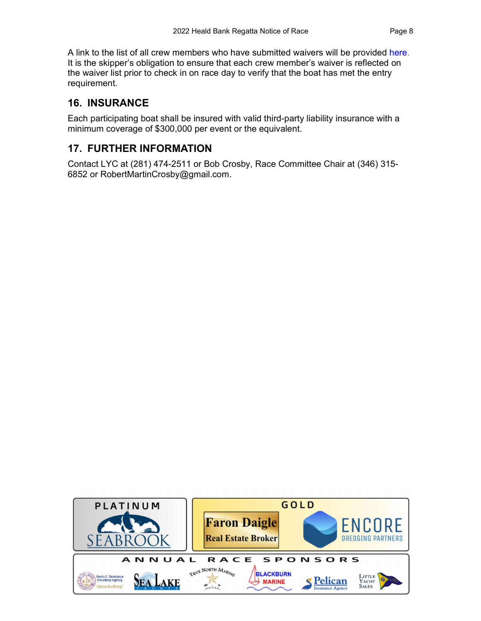A link to the list of all crew members who have submitted waivers will be provided here. It is the skipper's obligation to ensure that each crew member's waiver is reflected on the waiver list prior to check in on race day to verify that the boat has met the entry requirement.

#### 16. INSURANCE

Each participating boat shall be insured with valid third-party liability insurance with a minimum coverage of \$300,000 per event or the equivalent.

#### 17. FURTHER INFORMATION

Contact LYC at (281) 474-2511 or Bob Crosby, Race Committee Chair at (346) 315- 6852 or RobertMartinCrosby@gmail.com.